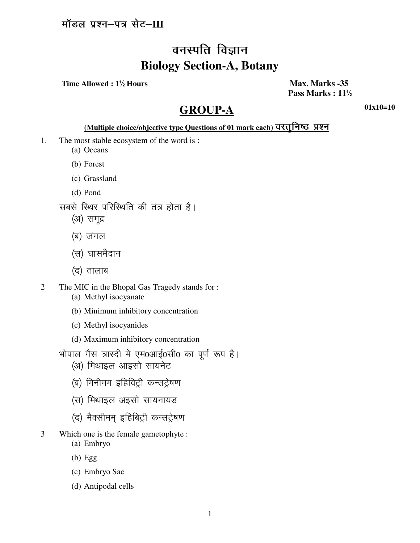# वनस्पति विज्ञान **Biology Section-A, Botany**

Time Allowed: 1<sup>1</sup>/<sub>2</sub> Hours

Max. Marks -35 Pass Marks: 11<sup>1</sup>/<sub>2</sub>

## **GROUP-A**

 $01x10=10$ 

### (Multiple choice/objective type Questions of 01 mark each) वस्तूनिष्ठ प्रश्न

- $1<sub>1</sub>$ The most stable ecosystem of the word is:
	- (a) Oceans
	- (b) Forest
	- (c) Grassland
	- (d) Pond
	- सबसे स्थिर परिस्थिति की तंत्र होता है।
		- (अ) समूद्र
		- (ब) जंगल
		- (स) घासमैदान
		- (द) तालाब
- $\overline{2}$ The MIC in the Bhopal Gas Tragedy stands for: (a) Methyl isocyanate
	- (b) Minimum inhibitory concentration
	- (c) Methyl isocyanides
	- (d) Maximum inhibitory concentration
	- भोपाल गैस त्रास्दी में एम0आई0सी0 का पूर्ण रूप है।
		- (अ) मिथाइल आइसो सायनेट
		- (ब) मिनीमम इहिविट्री कन्सट्रेषण
		- (स) मिथाइल अइसो सायनायड
		- (द) मैक्सीमम् इहिबिट्री कन्सट्रेषण
- $\overline{3}$ Which one is the female gametophyte :
	- (a) Embryo
	- $(b)$  Egg
	- (c) Embryo Sac
	- (d) Antipodal cells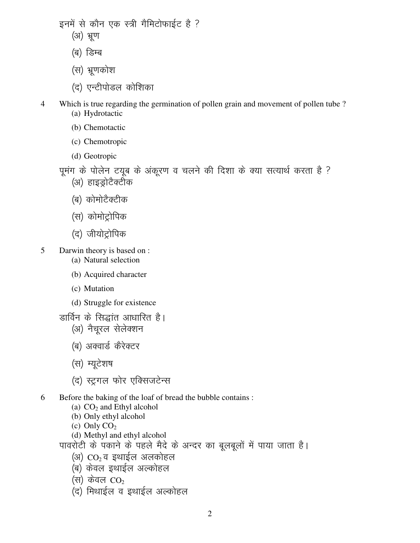इनमें से कौन एक स्त्री गैमिटोफाईट है ?

- (अ) भ्रण
- (ब) डिम्ब
- (स) भ्रणकोश
- (द) एन्टीपोडल कोशिका
- 4 Which is true regarding the germination of pollen grain and movement of pollen tube ? (a) Hydrotactic
	- (b) Chemotactic
	- (c) Chemotropic
	- (d) Geotropic
	- पूमंग के पोलेन टयूब के अंकूरण व चलने की दिशा के क्या सत्यार्थ करता है ?
		- (अ) हाइड्रोटैक्टीक
		- (ब) कोमोटैक्टीक
		- (स) कोमोट्रोपिक
		- (द) जीयोट्रोपिक
- 5 Darwin theory is based on :
	- (a) Natural selection
	- (b) Acquired character
	- (c) Mutation
	- (d) Struggle for existence
	- डार्विन के सिद्धांत आधारित है।
		- (अ) नैचूरल सेलेक्शन
		- (ब) अक्वार्ड कैरेक्टर
		- (स) म्यूटेशष
		- (द) स्ट्रगल फोर एक्सिजटेन्स
- 6 Before the baking of the loaf of bread the bubble contains :
	- (a) CO2 and Ethyl alcohol
	- (b) Only ethyl alcohol
	- (c) Only  $CO<sub>2</sub>$
	- (d) Methyl and ethyl alcohol

पावरोटी के पकाने के पहले मैदे के अन्दर का बूलबूलों में पाया जाता है।

- (अ)  $CO<sub>2</sub>$ व इथाईल अलकोहल
- (ब) केवल इथाईल अल्कोहल
- (स) केवल  $CO<sub>2</sub>$
- $(q)$  मिथाईल व इथाईल अल्कोहल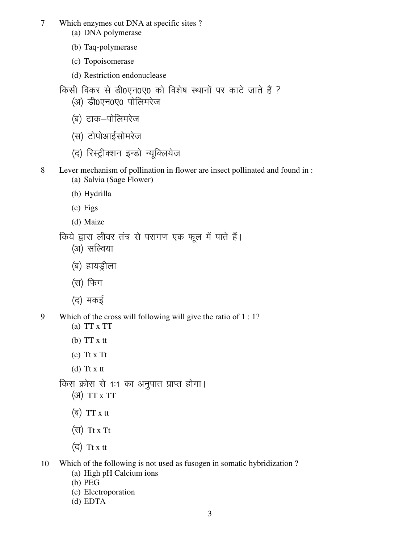7 Which enzymes cut DNA at specific sites ?

- (a) DNA polymerase
- (b) Taq-polymerase
- (c) Topoisomerase
- (d) Restriction endonuclease

किसी विकर से डी0एन0ए0 को विशेष स्थानों पर काटे जाते हैं ?

- (अ) डी0एन0ए0 पोलिमरेज
- (ब) टाक–पोलिमरेज
- (स) टोपोआईसोमरेज
- (द) रिस्ट्रीक्शन इन्डो न्यूक्लियेज
- 
- 8 Lever mechanism of pollination in flower are insect pollinated and found in : (a) Salvia (Sage Flower)
	- (b) Hydrilla
	- (c) Figs
	- (d) Maize

किये द्वारा लीवर तंत्र से परागण एक फूल में पाते हैं।

- (अ) सल्विया
- (ब) हायड्रीला
- (स) फिग
- $($ द) मकई
- 9 Which of the cross will following will give the ratio of 1 : 1?
	- (a) TT x TT
	- $(b)$  TT  $x$  tt
	- (c) Tt x Tt
	- $(d)$  Tt x tt

किस क्रोस से 1:1 का अनुपात प्राप्त होगा।

- $(3)$  TT x TT
- $\left(\overline{q}\right)$  TT x tt
- $(\overline{H})$  Tt x Tt
- $(\overline{\mathsf{c}})$  Tt x tt
- 10 Which of the following is not used as fusogen in somatic hybridization ?
	- (a) High pH Calcium ions
	- (b) PEG
	- (c) Electroporation
	- (d) EDTA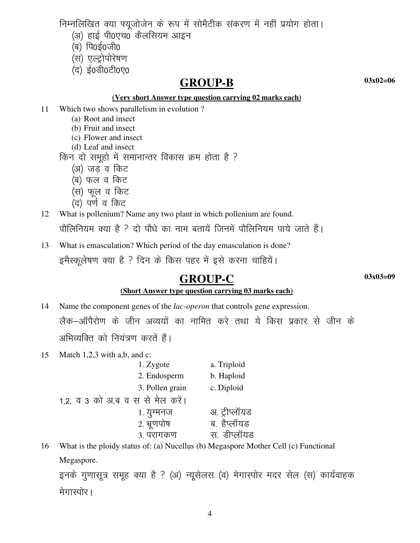निम्नलिखित क्या फ्यूजोजेन के रूप में सोमैटीक संकरण में नहीं प्रयोग होता।

- (अ) हाई पी0एच0 कैलसियम आइन
- $(a)$  पि $o$ ई $o$ जी $o$
- (स) एल्ट्रोपोरेषण
- (द) ई0डी0टी0ए0

### **GROUP-B**

 $03x02=06$ 

#### (Very short Answer type question carrying 02 marks each)

- Which two shows parallelism in evolution? 11
	- (a) Root and insect
	- (b) Fruit and insect
	- (c) Flower and insect
	- (d) Leaf and insect
	- किन दो समूहो में समानान्तर विकास क्रम होता है ?
		- (अ) जड़ व किट
		- (ब) फल व किट
		- (स) फूल व किट
		- (द) पर्ण व किट

12 What is pollenium? Name any two plant in which pollenium are found.

पौलिनियम क्या है ? दो पौधे का नाम बतायें जिनमें पौलिनियम पाये जाते हैं।

What is emasculation? Which period of the day emasculation is done? 13

इमैस्कूलेषण क्या है ? दिन के किस पहर में इसे करना चाहियें।

## **GROUP-C**

 $03x03=09$ 

### (Short Answer type question carrying 03 marks each)

- Name the component genes of the *lac-operon* that controls gene expression. 14 लैक–ऑपैरोण के जीन अव्ययों का नामित करे तथा ये किस प्रकार से जीन के अभिव्यक्ति को नियंत्रण करतें हैं।
- 15 Match  $1,2,3$  with a,b, and c: 1. Zygote a. Triploid 2. Endosperm b. Haploid 3. Pollen grain c. Diploid 1.2, व 3 को अ,ब व स से मेल करें। 1. युग्मनज अ. ट्रीप्लॉयड 2. भ्रूणपोष ब. हैप्लॉयड स डीप्लॉयड ३. परागकण
- What is the ploidy status of: (a) Nucellus (b) Megaspore Mother Cell (c) Functional 16 Megaspore.

इनके गुणासूत्र समूह क्या है ? (अ) न्यूसेलस (व) मेगास्पोर मदर सेल (स) कार्यवाहक मेगास्पोर।